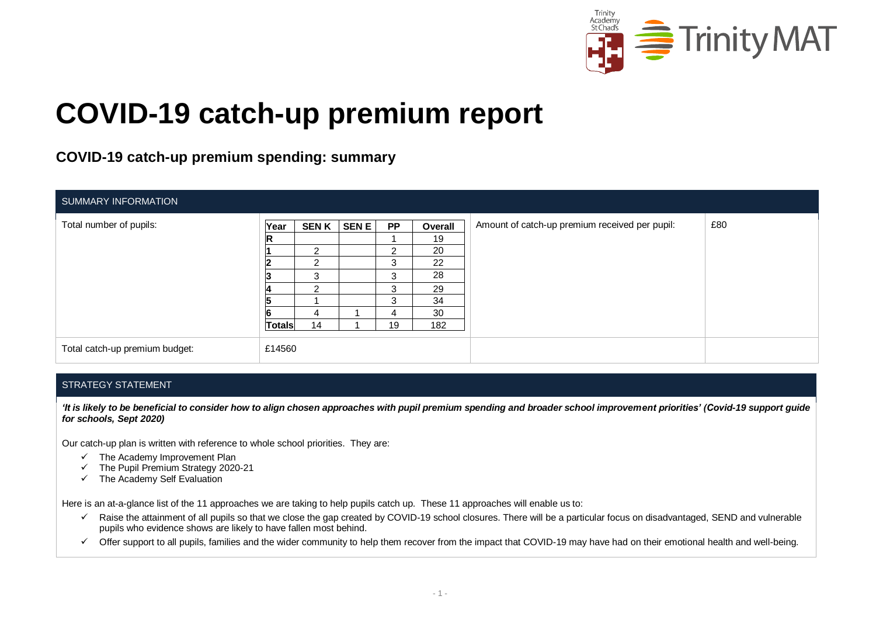

# **COVID-19 catch-up premium report**

### **COVID-19 catch-up premium spending: summary**

| SUMMARY INFORMATION            |                         |                                                                     |             |                                         |                                             |                                                |     |
|--------------------------------|-------------------------|---------------------------------------------------------------------|-------------|-----------------------------------------|---------------------------------------------|------------------------------------------------|-----|
| Total number of pupils:        | Year                    | <b>SENK</b><br>$\mathcal{P}$<br>$\mathcal{P}$<br>3<br>$\mathcal{P}$ | <b>SENE</b> | <b>PP</b><br>$\sim$<br>3<br>3<br>3<br>3 | Overall<br>19<br>20<br>22<br>28<br>29<br>34 | Amount of catch-up premium received per pupil: | £80 |
| Total catch-up premium budget: | <b>Totals</b><br>£14560 | 4<br>14                                                             |             | 4<br>19                                 | 30<br>182                                   |                                                |     |

#### STRATEGY STATEMENT

*'It is likely to be beneficial to consider how to align chosen approaches with pupil premium spending and broader school improvement priorities' (Covid-19 support guide for schools, Sept 2020)*

Our catch-up plan is written with reference to whole school priorities. They are:

- $\checkmark$  The Academy Improvement Plan
- ✓ The Pupil Premium Strategy 2020-21
- $\checkmark$  The Academy Self Evaluation

Here is an at-a-glance list of the 11 approaches we are taking to help pupils catch up. These 11 approaches will enable us to:

- $\checkmark$  Raise the attainment of all pupils so that we close the gap created by COVID-19 school closures. There will be a particular focus on disadvantaged, SEND and vulnerable pupils who evidence shows are likely to have fallen most behind.
- $\checkmark$  Offer support to all pupils, families and the wider community to help them recover from the impact that COVID-19 may have had on their emotional health and well-being.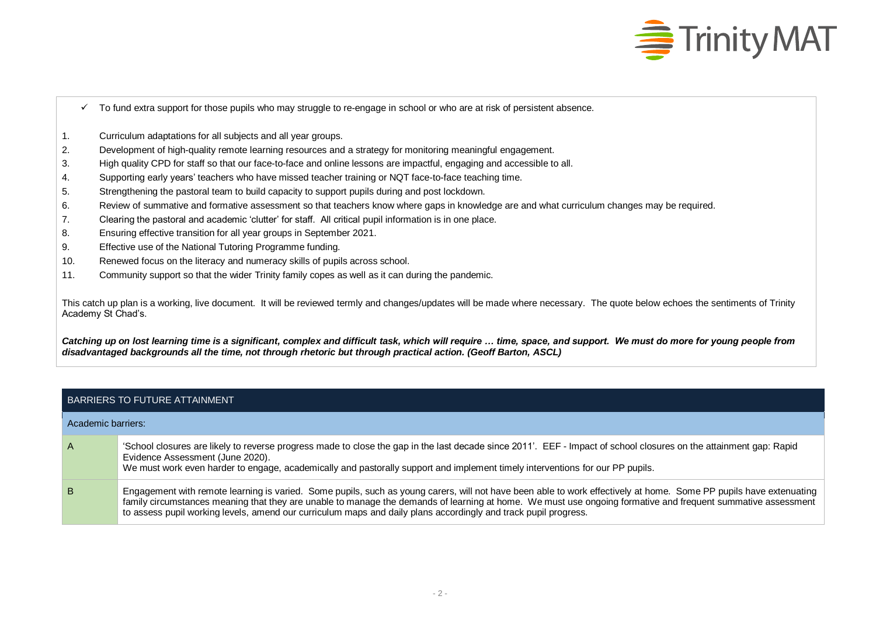

- $\checkmark$  To fund extra support for those pupils who may struggle to re-engage in school or who are at risk of persistent absence.
- 1. Curriculum adaptations for all subjects and all year groups.
- 2. Development of high-quality remote learning resources and a strategy for monitoring meaningful engagement.
- 3. High quality CPD for staff so that our face-to-face and online lessons are impactful, engaging and accessible to all.
- 4. Supporting early years' teachers who have missed teacher training or NQT face-to-face teaching time.
- 5. Strengthening the pastoral team to build capacity to support pupils during and post lockdown.
- 6. Review of summative and formative assessment so that teachers know where gaps in knowledge are and what curriculum changes may be required.
- 7. Clearing the pastoral and academic 'clutter' for staff. All critical pupil information is in one place.
- 8. Ensuring effective transition for all year groups in September 2021.
- 9. Effective use of the National Tutoring Programme funding.
- 10. Renewed focus on the literacy and numeracy skills of pupils across school.
- 11. Community support so that the wider Trinity family copes as well as it can during the pandemic.

This catch up plan is a working, live document. It will be reviewed termly and changes/updates will be made where necessary. The quote below echoes the sentiments of Trinity Academy St Chad's.

Catching up on lost learning time is a significant, complex and difficult task, which will require ... time, space, and support. We must do more for young people from *disadvantaged backgrounds all the time, not through rhetoric but through practical action. (Geoff Barton, ASCL)*

#### BARRIERS TO FUTURE ATTAINMENT

| Academic barriers: |                                                                                                                                                                                                                                                                                                                                                                                                                                                       |
|--------------------|-------------------------------------------------------------------------------------------------------------------------------------------------------------------------------------------------------------------------------------------------------------------------------------------------------------------------------------------------------------------------------------------------------------------------------------------------------|
| $\mathsf{A}$       | 'School closures are likely to reverse progress made to close the gap in the last decade since 2011'. EEF - Impact of school closures on the attainment gap: Rapid<br>Evidence Assessment (June 2020).<br>We must work even harder to engage, academically and pastorally support and implement timely interventions for our PP pupils.                                                                                                               |
| B                  | Engagement with remote learning is varied. Some pupils, such as young carers, will not have been able to work effectively at home. Some PP pupils have extenuating<br>family circumstances meaning that they are unable to manage the demands of learning at home. We must use ongoing formative and frequent summative assessment<br>to assess pupil working levels, amend our curriculum maps and daily plans accordingly and track pupil progress. |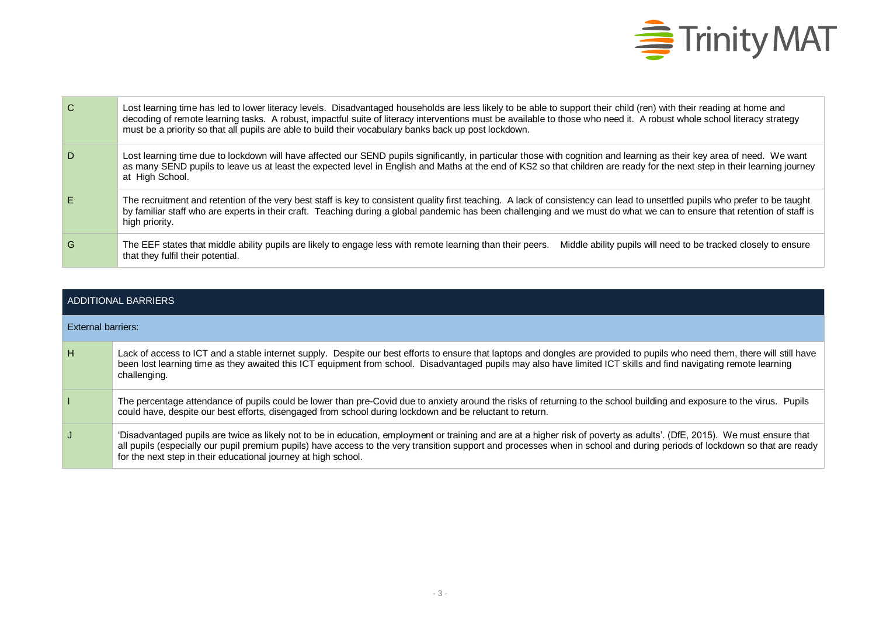

| $\mathbf C$ | Lost learning time has led to lower literacy levels. Disadvantaged households are less likely to be able to support their child (ren) with their reading at home and<br>decoding of remote learning tasks. A robust, impactful suite of literacy interventions must be available to those who need it. A robust whole school literacy strategy<br>must be a priority so that all pupils are able to build their vocabulary banks back up post lockdown. |
|-------------|---------------------------------------------------------------------------------------------------------------------------------------------------------------------------------------------------------------------------------------------------------------------------------------------------------------------------------------------------------------------------------------------------------------------------------------------------------|
| D.          | Lost learning time due to lockdown will have affected our SEND pupils significantly, in particular those with cognition and learning as their key area of need. We want<br>as many SEND pupils to leave us at least the expected level in English and Maths at the end of KS2 so that children are ready for the next step in their learning journey<br>at High School.                                                                                 |
| E.          | The recruitment and retention of the very best staff is key to consistent quality first teaching. A lack of consistency can lead to unsettled pupils who prefer to be taught<br>by familiar staff who are experts in their craft. Teaching during a global pandemic has been challenging and we must do what we can to ensure that retention of staff is<br>high priority.                                                                              |
| G           | The EEF states that middle ability pupils are likely to engage less with remote learning than their peers.<br>Middle ability pupils will need to be tracked closely to ensure<br>that they fulfil their potential.                                                                                                                                                                                                                                      |

|                    | ADDITIONAL BARRIERS                                                                                                                                                                                                                                                                                                                                                                                                      |
|--------------------|--------------------------------------------------------------------------------------------------------------------------------------------------------------------------------------------------------------------------------------------------------------------------------------------------------------------------------------------------------------------------------------------------------------------------|
| External barriers: |                                                                                                                                                                                                                                                                                                                                                                                                                          |
| H                  | Lack of access to ICT and a stable internet supply. Despite our best efforts to ensure that laptops and dongles are provided to pupils who need them, there will still have<br>been lost learning time as they awaited this ICT equipment from school. Disadvantaged pupils may also have limited ICT skills and find navigating remote learning<br>challenging.                                                         |
|                    | The percentage attendance of pupils could be lower than pre-Covid due to anxiety around the risks of returning to the school building and exposure to the virus. Pupils<br>could have, despite our best efforts, disengaged from school during lockdown and be reluctant to return.                                                                                                                                      |
| J.                 | 'Disadvantaged pupils are twice as likely not to be in education, employment or training and are at a higher risk of poverty as adults'. (DfE, 2015). We must ensure that<br>all pupils (especially our pupil premium pupils) have access to the very transition support and processes when in school and during periods of lockdown so that are ready<br>for the next step in their educational journey at high school. |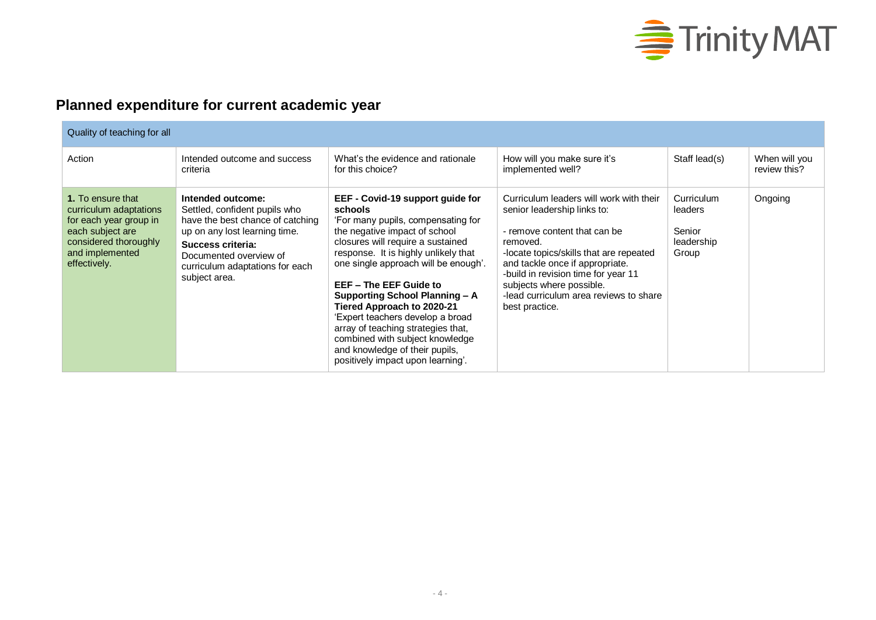

## **Planned expenditure for current academic year**

| Quality of teaching for all                                                                                                                           |                                                                                                                                                                                                                            |                                                                                                                                                                                                                                                                                                                                                                                                                                                                                                                       |                                                                                                                                                                                                                                                                                                                                 |                                                        |                               |  |
|-------------------------------------------------------------------------------------------------------------------------------------------------------|----------------------------------------------------------------------------------------------------------------------------------------------------------------------------------------------------------------------------|-----------------------------------------------------------------------------------------------------------------------------------------------------------------------------------------------------------------------------------------------------------------------------------------------------------------------------------------------------------------------------------------------------------------------------------------------------------------------------------------------------------------------|---------------------------------------------------------------------------------------------------------------------------------------------------------------------------------------------------------------------------------------------------------------------------------------------------------------------------------|--------------------------------------------------------|-------------------------------|--|
| Action                                                                                                                                                | Intended outcome and success<br>criteria                                                                                                                                                                                   | What's the evidence and rationale<br>for this choice?                                                                                                                                                                                                                                                                                                                                                                                                                                                                 | How will you make sure it's<br>implemented well?                                                                                                                                                                                                                                                                                | Staff lead(s)                                          | When will you<br>review this? |  |
| 1. To ensure that<br>curriculum adaptations<br>for each year group in<br>each subject are<br>considered thoroughly<br>and implemented<br>effectively. | Intended outcome:<br>Settled, confident pupils who<br>have the best chance of catching<br>up on any lost learning time.<br>Success criteria:<br>Documented overview of<br>curriculum adaptations for each<br>subject area. | EEF - Covid-19 support guide for<br>schools<br>'For many pupils, compensating for<br>the negative impact of school<br>closures will require a sustained<br>response. It is highly unlikely that<br>one single approach will be enough'.<br>EEF - The EEF Guide to<br>Supporting School Planning - A<br>Tiered Approach to 2020-21<br>'Expert teachers develop a broad<br>array of teaching strategies that,<br>combined with subject knowledge<br>and knowledge of their pupils,<br>positively impact upon learning'. | Curriculum leaders will work with their<br>senior leadership links to:<br>- remove content that can be<br>removed.<br>-locate topics/skills that are repeated<br>and tackle once if appropriate.<br>-build in revision time for year 11<br>subjects where possible.<br>-lead curriculum area reviews to share<br>best practice. | Curriculum<br>leaders<br>Senior<br>leadership<br>Group | Ongoing                       |  |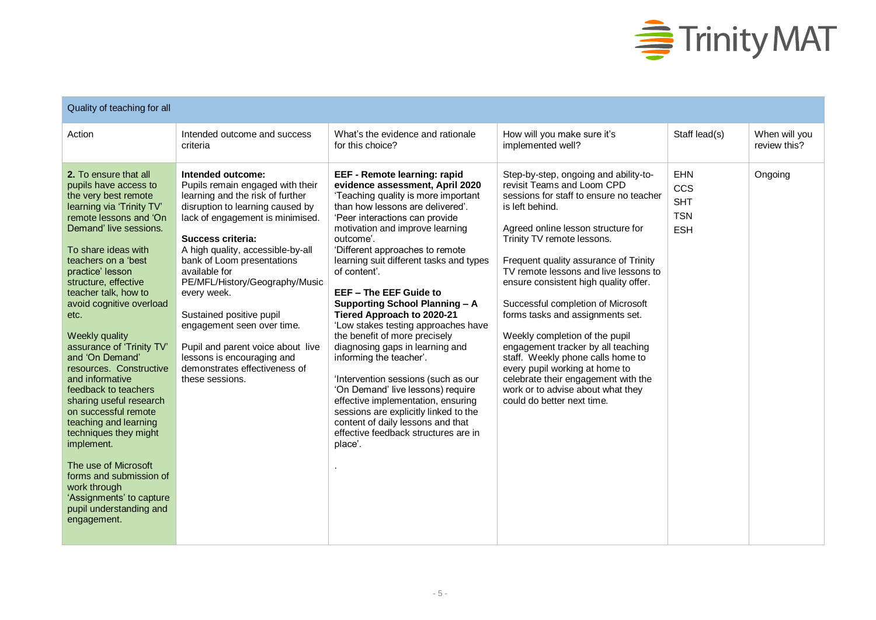

| Quality of teaching for all                                                                                                                                                                                                                                                                                                                                                                                                                                                                                                                                                                                                                                                                                       |                                                                                                                                                                                                                                                                                                                                                                                                                                                                                                              |                                                                                                                                                                                                                                                                                                                                                                                                                                                                                                                                                                                                                                                                                                                                                                                                                     |                                                                                                                                                                                                                                                                                                                                                                                                                                                                                                                                                                                                                                                                     |                                                             |                               |  |
|-------------------------------------------------------------------------------------------------------------------------------------------------------------------------------------------------------------------------------------------------------------------------------------------------------------------------------------------------------------------------------------------------------------------------------------------------------------------------------------------------------------------------------------------------------------------------------------------------------------------------------------------------------------------------------------------------------------------|--------------------------------------------------------------------------------------------------------------------------------------------------------------------------------------------------------------------------------------------------------------------------------------------------------------------------------------------------------------------------------------------------------------------------------------------------------------------------------------------------------------|---------------------------------------------------------------------------------------------------------------------------------------------------------------------------------------------------------------------------------------------------------------------------------------------------------------------------------------------------------------------------------------------------------------------------------------------------------------------------------------------------------------------------------------------------------------------------------------------------------------------------------------------------------------------------------------------------------------------------------------------------------------------------------------------------------------------|---------------------------------------------------------------------------------------------------------------------------------------------------------------------------------------------------------------------------------------------------------------------------------------------------------------------------------------------------------------------------------------------------------------------------------------------------------------------------------------------------------------------------------------------------------------------------------------------------------------------------------------------------------------------|-------------------------------------------------------------|-------------------------------|--|
| Action                                                                                                                                                                                                                                                                                                                                                                                                                                                                                                                                                                                                                                                                                                            | Intended outcome and success<br>criteria                                                                                                                                                                                                                                                                                                                                                                                                                                                                     | What's the evidence and rationale<br>for this choice?                                                                                                                                                                                                                                                                                                                                                                                                                                                                                                                                                                                                                                                                                                                                                               | How will you make sure it's<br>implemented well?                                                                                                                                                                                                                                                                                                                                                                                                                                                                                                                                                                                                                    | Staff lead(s)                                               | When will you<br>review this? |  |
| 2. To ensure that all<br>pupils have access to<br>the very best remote<br>learning via 'Trinity TV'<br>remote lessons and 'On<br>Demand' live sessions.<br>To share ideas with<br>teachers on a 'best<br>practice' lesson<br>structure, effective<br>teacher talk, how to<br>avoid cognitive overload<br>etc.<br>Weekly quality<br>assurance of 'Trinity TV'<br>and 'On Demand'<br>resources. Constructive<br>and informative<br>feedback to teachers<br>sharing useful research<br>on successful remote<br>teaching and learning<br>techniques they might<br>implement.<br>The use of Microsoft<br>forms and submission of<br>work through<br>'Assignments' to capture<br>pupil understanding and<br>engagement. | Intended outcome:<br>Pupils remain engaged with their<br>learning and the risk of further<br>disruption to learning caused by<br>lack of engagement is minimised.<br>Success criteria:<br>A high quality, accessible-by-all<br>bank of Loom presentations<br>available for<br>PE/MFL/History/Geography/Music<br>every week.<br>Sustained positive pupil<br>engagement seen over time.<br>Pupil and parent voice about live<br>lessons is encouraging and<br>demonstrates effectiveness of<br>these sessions. | EEF - Remote learning: rapid<br>evidence assessment, April 2020<br>'Teaching quality is more important<br>than how lessons are delivered'.<br>'Peer interactions can provide<br>motivation and improve learning<br>outcome'.<br>'Different approaches to remote<br>learning suit different tasks and types<br>of content'<br>EEF - The EEF Guide to<br><b>Supporting School Planning - A</b><br>Tiered Approach to 2020-21<br>'Low stakes testing approaches have<br>the benefit of more precisely<br>diagnosing gaps in learning and<br>informing the teacher'.<br>'Intervention sessions (such as our<br>'On Demand' live lessons) require<br>effective implementation, ensuring<br>sessions are explicitly linked to the<br>content of daily lessons and that<br>effective feedback structures are in<br>place'. | Step-by-step, ongoing and ability-to-<br>revisit Teams and Loom CPD<br>sessions for staff to ensure no teacher<br>is left behind.<br>Agreed online lesson structure for<br>Trinity TV remote lessons.<br>Frequent quality assurance of Trinity<br>TV remote lessons and live lessons to<br>ensure consistent high quality offer.<br>Successful completion of Microsoft<br>forms tasks and assignments set.<br>Weekly completion of the pupil<br>engagement tracker by all teaching<br>staff. Weekly phone calls home to<br>every pupil working at home to<br>celebrate their engagement with the<br>work or to advise about what they<br>could do better next time. | <b>EHN</b><br>CCS<br><b>SHT</b><br><b>TSN</b><br><b>ESH</b> | Ongoing                       |  |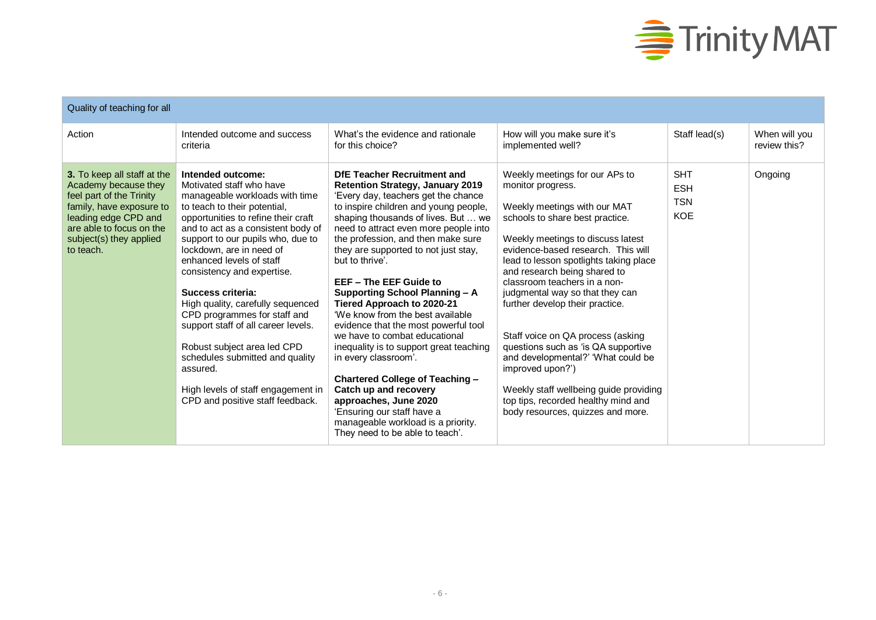

| Quality of teaching for all                                                                                                                                                                             |                                                                                                                                                                                                                                                                                                                                                                                                                                                                                                                                                                                                                  |                                                                                                                                                                                                                                                                                                                                                                                                                                                                                                                                                                                                                                                                                                                                                                                                                      |                                                                                                                                                                                                                                                                                                                                                                                                                                                                                                                                                                                                                                               |                                                      |                               |  |  |
|---------------------------------------------------------------------------------------------------------------------------------------------------------------------------------------------------------|------------------------------------------------------------------------------------------------------------------------------------------------------------------------------------------------------------------------------------------------------------------------------------------------------------------------------------------------------------------------------------------------------------------------------------------------------------------------------------------------------------------------------------------------------------------------------------------------------------------|----------------------------------------------------------------------------------------------------------------------------------------------------------------------------------------------------------------------------------------------------------------------------------------------------------------------------------------------------------------------------------------------------------------------------------------------------------------------------------------------------------------------------------------------------------------------------------------------------------------------------------------------------------------------------------------------------------------------------------------------------------------------------------------------------------------------|-----------------------------------------------------------------------------------------------------------------------------------------------------------------------------------------------------------------------------------------------------------------------------------------------------------------------------------------------------------------------------------------------------------------------------------------------------------------------------------------------------------------------------------------------------------------------------------------------------------------------------------------------|------------------------------------------------------|-------------------------------|--|--|
| Action                                                                                                                                                                                                  | Intended outcome and success<br>criteria                                                                                                                                                                                                                                                                                                                                                                                                                                                                                                                                                                         | What's the evidence and rationale<br>for this choice?                                                                                                                                                                                                                                                                                                                                                                                                                                                                                                                                                                                                                                                                                                                                                                | How will you make sure it's<br>implemented well?                                                                                                                                                                                                                                                                                                                                                                                                                                                                                                                                                                                              | Staff lead(s)                                        | When will you<br>review this? |  |  |
| 3. To keep all staff at the<br>Academy because they<br>feel part of the Trinity<br>family, have exposure to<br>leading edge CPD and<br>are able to focus on the<br>subject(s) they applied<br>to teach. | Intended outcome:<br>Motivated staff who have<br>manageable workloads with time<br>to teach to their potential,<br>opportunities to refine their craft<br>and to act as a consistent body of<br>support to our pupils who, due to<br>lockdown, are in need of<br>enhanced levels of staff<br>consistency and expertise.<br>Success criteria:<br>High quality, carefully sequenced<br>CPD programmes for staff and<br>support staff of all career levels.<br>Robust subject area led CPD<br>schedules submitted and quality<br>assured.<br>High levels of staff engagement in<br>CPD and positive staff feedback. | DfE Teacher Recruitment and<br><b>Retention Strategy, January 2019</b><br>'Every day, teachers get the chance<br>to inspire children and young people,<br>shaping thousands of lives. But  we<br>need to attract even more people into<br>the profession, and then make sure<br>they are supported to not just stay,<br>but to thrive'.<br>EEF - The EEF Guide to<br><b>Supporting School Planning - A</b><br>Tiered Approach to 2020-21<br>'We know from the best available<br>evidence that the most powerful tool<br>we have to combat educational<br>inequality is to support great teaching<br>in every classroom'.<br>Chartered College of Teaching -<br>Catch up and recovery<br>approaches, June 2020<br>'Ensuring our staff have a<br>manageable workload is a priority.<br>They need to be able to teach'. | Weekly meetings for our APs to<br>monitor progress.<br>Weekly meetings with our MAT<br>schools to share best practice.<br>Weekly meetings to discuss latest<br>evidence-based research. This will<br>lead to lesson spotlights taking place<br>and research being shared to<br>classroom teachers in a non-<br>judgmental way so that they can<br>further develop their practice.<br>Staff voice on QA process (asking<br>questions such as 'is QA supportive<br>and developmental?' 'What could be<br>improved upon?')<br>Weekly staff wellbeing guide providing<br>top tips, recorded healthy mind and<br>body resources, quizzes and more. | <b>SHT</b><br><b>ESH</b><br><b>TSN</b><br><b>KOE</b> | Ongoing                       |  |  |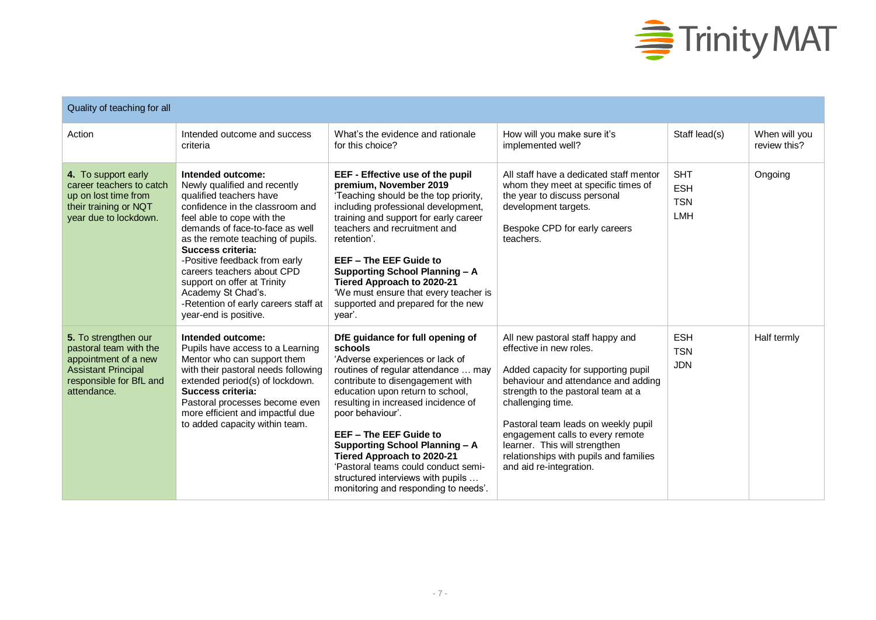

| Quality of teaching for all                                                                                                                    |                                                                                                                                                                                                                                                                                                                                                                                                                                 |                                                                                                                                                                                                                                                                                                                                                                                                                                                                               |                                                                                                                                                                                                                                                                                                                                                                                       |                                                      |                               |  |
|------------------------------------------------------------------------------------------------------------------------------------------------|---------------------------------------------------------------------------------------------------------------------------------------------------------------------------------------------------------------------------------------------------------------------------------------------------------------------------------------------------------------------------------------------------------------------------------|-------------------------------------------------------------------------------------------------------------------------------------------------------------------------------------------------------------------------------------------------------------------------------------------------------------------------------------------------------------------------------------------------------------------------------------------------------------------------------|---------------------------------------------------------------------------------------------------------------------------------------------------------------------------------------------------------------------------------------------------------------------------------------------------------------------------------------------------------------------------------------|------------------------------------------------------|-------------------------------|--|
| Action                                                                                                                                         | Intended outcome and success<br>criteria                                                                                                                                                                                                                                                                                                                                                                                        | What's the evidence and rationale<br>for this choice?                                                                                                                                                                                                                                                                                                                                                                                                                         | How will you make sure it's<br>implemented well?                                                                                                                                                                                                                                                                                                                                      | Staff lead(s)                                        | When will you<br>review this? |  |
| 4. To support early<br>career teachers to catch<br>up on lost time from<br>their training or NQT<br>year due to lockdown.                      | Intended outcome:<br>Newly qualified and recently<br>qualified teachers have<br>confidence in the classroom and<br>feel able to cope with the<br>demands of face-to-face as well<br>as the remote teaching of pupils.<br>Success criteria:<br>-Positive feedback from early<br>careers teachers about CPD<br>support on offer at Trinity<br>Academy St Chad's.<br>-Retention of early careers staff at<br>year-end is positive. | EEF - Effective use of the pupil<br>premium, November 2019<br>'Teaching should be the top priority,<br>including professional development,<br>training and support for early career<br>teachers and recruitment and<br>retention'.<br>EEF - The EEF Guide to<br><b>Supporting School Planning - A</b><br>Tiered Approach to 2020-21<br>'We must ensure that every teacher is<br>supported and prepared for the new<br>vear'.                                                  | All staff have a dedicated staff mentor<br>whom they meet at specific times of<br>the year to discuss personal<br>development targets.<br>Bespoke CPD for early careers<br>teachers.                                                                                                                                                                                                  | <b>SHT</b><br><b>ESH</b><br><b>TSN</b><br><b>LMH</b> | Ongoing                       |  |
| 5. To strengthen our<br>pastoral team with the<br>appointment of a new<br><b>Assistant Principal</b><br>responsible for BfL and<br>attendance. | Intended outcome:<br>Pupils have access to a Learning<br>Mentor who can support them<br>with their pastoral needs following<br>extended period(s) of lockdown.<br>Success criteria:<br>Pastoral processes become even<br>more efficient and impactful due<br>to added capacity within team.                                                                                                                                     | DfE guidance for full opening of<br>schools<br>'Adverse experiences or lack of<br>routines of regular attendance  may<br>contribute to disengagement with<br>education upon return to school,<br>resulting in increased incidence of<br>poor behaviour'.<br>EEF - The EEF Guide to<br><b>Supporting School Planning - A</b><br>Tiered Approach to 2020-21<br>'Pastoral teams could conduct semi-<br>structured interviews with pupils<br>monitoring and responding to needs'. | All new pastoral staff happy and<br>effective in new roles.<br>Added capacity for supporting pupil<br>behaviour and attendance and adding<br>strength to the pastoral team at a<br>challenging time.<br>Pastoral team leads on weekly pupil<br>engagement calls to every remote<br>learner. This will strengthen<br>relationships with pupils and families<br>and aid re-integration. | <b>ESH</b><br><b>TSN</b><br><b>JDN</b>               | Half termly                   |  |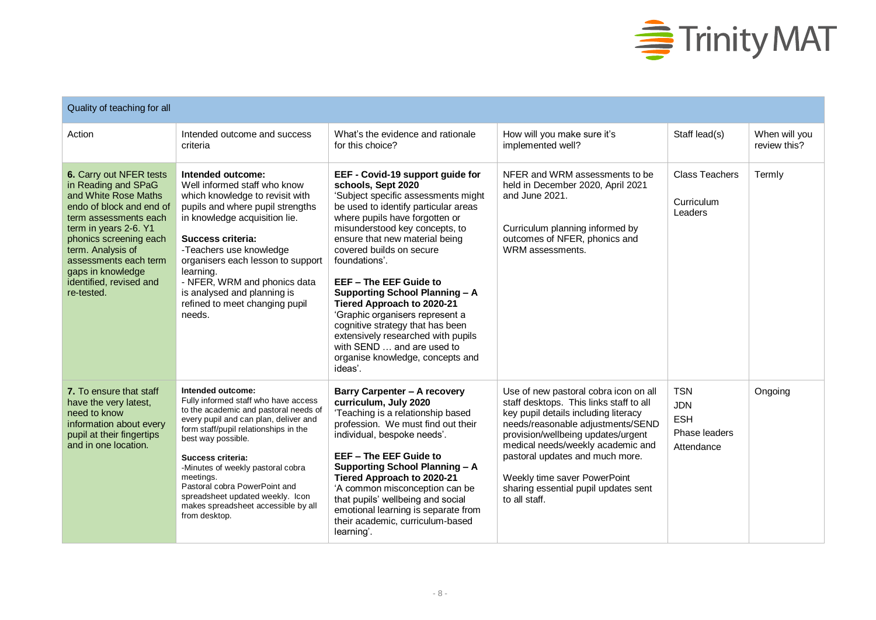

| Quality of teaching for all                                                                                                                                                                                                                                                                |                                                                                                                                                                                                                                                                                                                                                                                                                |                                                                                                                                                                                                                                                                                                                                                                                                                                                                                                                                                                              |                                                                                                                                                                                                                                                                                                                                                                      |                                                                       |                               |  |
|--------------------------------------------------------------------------------------------------------------------------------------------------------------------------------------------------------------------------------------------------------------------------------------------|----------------------------------------------------------------------------------------------------------------------------------------------------------------------------------------------------------------------------------------------------------------------------------------------------------------------------------------------------------------------------------------------------------------|------------------------------------------------------------------------------------------------------------------------------------------------------------------------------------------------------------------------------------------------------------------------------------------------------------------------------------------------------------------------------------------------------------------------------------------------------------------------------------------------------------------------------------------------------------------------------|----------------------------------------------------------------------------------------------------------------------------------------------------------------------------------------------------------------------------------------------------------------------------------------------------------------------------------------------------------------------|-----------------------------------------------------------------------|-------------------------------|--|
| Action                                                                                                                                                                                                                                                                                     | Intended outcome and success<br>criteria                                                                                                                                                                                                                                                                                                                                                                       | What's the evidence and rationale<br>for this choice?                                                                                                                                                                                                                                                                                                                                                                                                                                                                                                                        | How will you make sure it's<br>implemented well?                                                                                                                                                                                                                                                                                                                     | Staff lead(s)                                                         | When will you<br>review this? |  |
| 6. Carry out NFER tests<br>in Reading and SPaG<br>and White Rose Maths<br>endo of block and end of<br>term assessments each<br>term in years 2-6. Y1<br>phonics screening each<br>term. Analysis of<br>assessments each term<br>gaps in knowledge<br>identified, revised and<br>re-tested. | Intended outcome:<br>Well informed staff who know<br>which knowledge to revisit with<br>pupils and where pupil strengths<br>in knowledge acquisition lie.<br>Success criteria:<br>-Teachers use knowledge<br>organisers each lesson to support<br>learning.<br>- NFER, WRM and phonics data<br>is analysed and planning is<br>refined to meet changing pupil<br>needs.                                         | EEF - Covid-19 support guide for<br>schools, Sept 2020<br>'Subject specific assessments might<br>be used to identify particular areas<br>where pupils have forgotten or<br>misunderstood key concepts, to<br>ensure that new material being<br>covered builds on secure<br>foundations'.<br>EEF - The EEF Guide to<br>Supporting School Planning - A<br>Tiered Approach to 2020-21<br>'Graphic organisers represent a<br>cognitive strategy that has been<br>extensively researched with pupils<br>with SEND  and are used to<br>organise knowledge, concepts and<br>ideas'. | NFER and WRM assessments to be<br>held in December 2020, April 2021<br>and June 2021.<br>Curriculum planning informed by<br>outcomes of NFER, phonics and<br>WRM assessments.                                                                                                                                                                                        | <b>Class Teachers</b><br>Curriculum<br>Leaders                        | Termly                        |  |
| 7. To ensure that staff<br>have the very latest,<br>need to know<br>information about every<br>pupil at their fingertips<br>and in one location.                                                                                                                                           | Intended outcome:<br>Fully informed staff who have access<br>to the academic and pastoral needs of<br>every pupil and can plan, deliver and<br>form staff/pupil relationships in the<br>best way possible.<br>Success criteria:<br>-Minutes of weekly pastoral cobra<br>meetings.<br>Pastoral cobra PowerPoint and<br>spreadsheet updated weekly. Icon<br>makes spreadsheet accessible by all<br>from desktop. | <b>Barry Carpenter - A recovery</b><br>curriculum, July 2020<br>'Teaching is a relationship based<br>profession. We must find out their<br>individual, bespoke needs'.<br>EEF - The EEF Guide to<br><b>Supporting School Planning - A</b><br>Tiered Approach to 2020-21<br>'A common misconception can be<br>that pupils' wellbeing and social<br>emotional learning is separate from<br>their academic, curriculum-based<br>learning'.                                                                                                                                      | Use of new pastoral cobra icon on all<br>staff desktops. This links staff to all<br>key pupil details including literacy<br>needs/reasonable adjustments/SEND<br>provision/wellbeing updates/urgent<br>medical needs/weekly academic and<br>pastoral updates and much more.<br>Weekly time saver PowerPoint<br>sharing essential pupil updates sent<br>to all staff. | <b>TSN</b><br><b>JDN</b><br><b>ESH</b><br>Phase leaders<br>Attendance | Ongoing                       |  |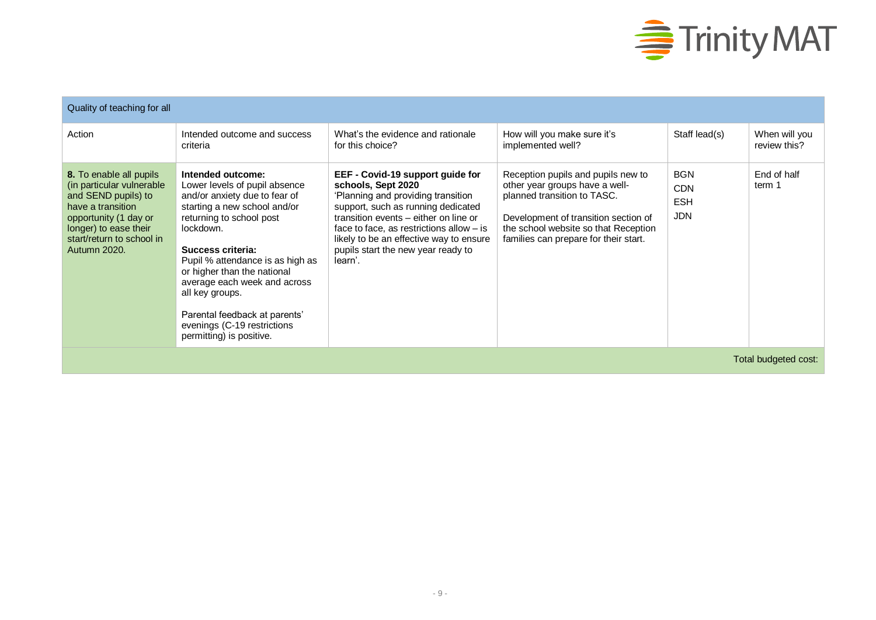

| Quality of teaching for all                                                                                                                                                                     |                                                                                                                                                                                                                                                                                                                                                                                                     |                                                                                                                                                                                                                                                                                                                       |                                                                                                                                                                                                                              |                                                      |                               |  |  |
|-------------------------------------------------------------------------------------------------------------------------------------------------------------------------------------------------|-----------------------------------------------------------------------------------------------------------------------------------------------------------------------------------------------------------------------------------------------------------------------------------------------------------------------------------------------------------------------------------------------------|-----------------------------------------------------------------------------------------------------------------------------------------------------------------------------------------------------------------------------------------------------------------------------------------------------------------------|------------------------------------------------------------------------------------------------------------------------------------------------------------------------------------------------------------------------------|------------------------------------------------------|-------------------------------|--|--|
| Action                                                                                                                                                                                          | Intended outcome and success<br>criteria                                                                                                                                                                                                                                                                                                                                                            | What's the evidence and rationale<br>for this choice?                                                                                                                                                                                                                                                                 | How will you make sure it's<br>implemented well?                                                                                                                                                                             | Staff lead(s)                                        | When will you<br>review this? |  |  |
| 8. To enable all pupils<br>(in particular vulnerable<br>and SEND pupils) to<br>have a transition<br>opportunity (1 day or<br>longer) to ease their<br>start/return to school in<br>Autumn 2020. | Intended outcome:<br>Lower levels of pupil absence<br>and/or anxiety due to fear of<br>starting a new school and/or<br>returning to school post<br>lockdown.<br>Success criteria:<br>Pupil % attendance is as high as<br>or higher than the national<br>average each week and across<br>all key groups.<br>Parental feedback at parents'<br>evenings (C-19 restrictions<br>permitting) is positive. | EEF - Covid-19 support guide for<br>schools, Sept 2020<br>'Planning and providing transition<br>support, such as running dedicated<br>transition events – either on line or<br>face to face, as restrictions allow $-$ is<br>likely to be an effective way to ensure<br>pupils start the new year ready to<br>learn'. | Reception pupils and pupils new to<br>other year groups have a well-<br>planned transition to TASC.<br>Development of transition section of<br>the school website so that Reception<br>families can prepare for their start. | <b>BGN</b><br><b>CDN</b><br><b>ESH</b><br><b>JDN</b> | End of half<br>term 1         |  |  |
|                                                                                                                                                                                                 | Total budgeted cost:                                                                                                                                                                                                                                                                                                                                                                                |                                                                                                                                                                                                                                                                                                                       |                                                                                                                                                                                                                              |                                                      |                               |  |  |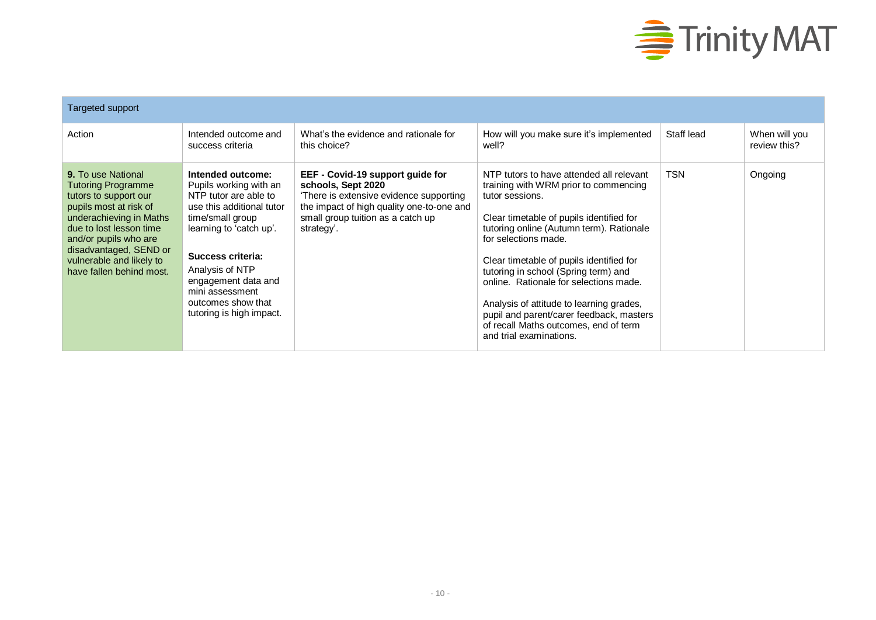

| Targeted support                                                                                                                                                                                                                                                    |                                                                                                                                                                                                                                                                                      |                                                                                                                                                                                                  |                                                                                                                                                                                                                                                                                                                                                                                                                                                                                                                |            |                               |  |  |
|---------------------------------------------------------------------------------------------------------------------------------------------------------------------------------------------------------------------------------------------------------------------|--------------------------------------------------------------------------------------------------------------------------------------------------------------------------------------------------------------------------------------------------------------------------------------|--------------------------------------------------------------------------------------------------------------------------------------------------------------------------------------------------|----------------------------------------------------------------------------------------------------------------------------------------------------------------------------------------------------------------------------------------------------------------------------------------------------------------------------------------------------------------------------------------------------------------------------------------------------------------------------------------------------------------|------------|-------------------------------|--|--|
| Action                                                                                                                                                                                                                                                              | Intended outcome and<br>success criteria                                                                                                                                                                                                                                             | What's the evidence and rationale for<br>this choice?                                                                                                                                            | How will you make sure it's implemented<br>well?                                                                                                                                                                                                                                                                                                                                                                                                                                                               | Staff lead | When will you<br>review this? |  |  |
| <b>9.</b> To use National<br>Tutoring Programme<br>tutors to support our<br>pupils most at risk of<br>underachieving in Maths<br>due to lost lesson time<br>and/or pupils who are<br>disadvantaged, SEND or<br>vulnerable and likely to<br>have fallen behind most. | Intended outcome:<br>Pupils working with an<br>NTP tutor are able to<br>use this additional tutor<br>time/small group<br>learning to 'catch up'.<br>Success criteria:<br>Analysis of NTP<br>engagement data and<br>mini assessment<br>outcomes show that<br>tutoring is high impact. | EEF - Covid-19 support guide for<br>schools, Sept 2020<br>There is extensive evidence supporting<br>the impact of high quality one-to-one and<br>small group tuition as a catch up<br>strategy'. | NTP tutors to have attended all relevant<br>training with WRM prior to commencing<br>tutor sessions.<br>Clear timetable of pupils identified for<br>tutoring online (Autumn term). Rationale<br>for selections made.<br>Clear timetable of pupils identified for<br>tutoring in school (Spring term) and<br>online. Rationale for selections made.<br>Analysis of attitude to learning grades,<br>pupil and parent/carer feedback, masters<br>of recall Maths outcomes, end of term<br>and trial examinations. | <b>TSN</b> | Ongoing                       |  |  |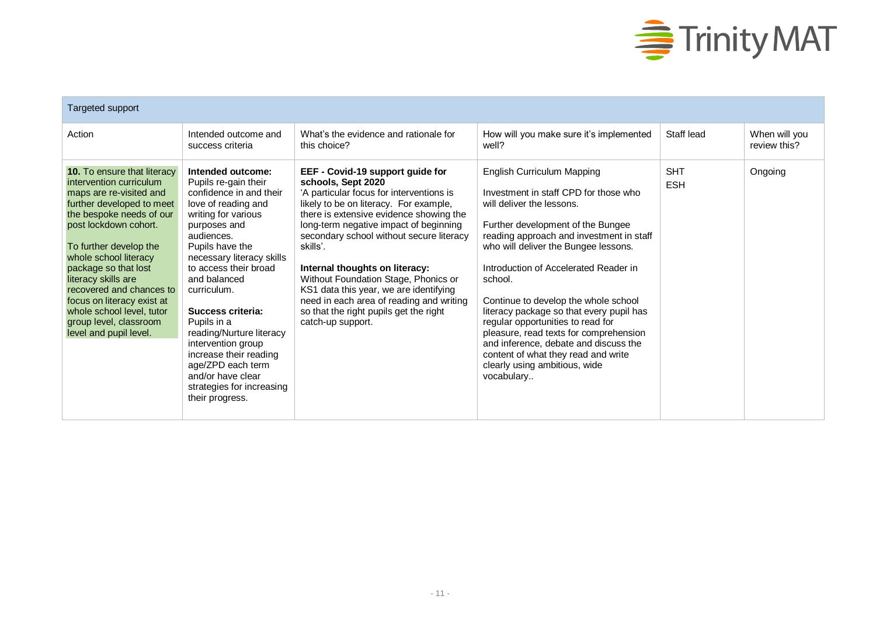

| Targeted support                                                                                                                                                                                                                                                                                                                                                                                                 |                                                                                                                                                                                                                                                                                                                                                                                                                                                                    |                                                                                                                                                                                                                                                                                                                                                                                                                                                                                                                          |                                                                                                                                                                                                                                                                                                                                                                                                                                                                                                                                                                                        |                          |                               |  |
|------------------------------------------------------------------------------------------------------------------------------------------------------------------------------------------------------------------------------------------------------------------------------------------------------------------------------------------------------------------------------------------------------------------|--------------------------------------------------------------------------------------------------------------------------------------------------------------------------------------------------------------------------------------------------------------------------------------------------------------------------------------------------------------------------------------------------------------------------------------------------------------------|--------------------------------------------------------------------------------------------------------------------------------------------------------------------------------------------------------------------------------------------------------------------------------------------------------------------------------------------------------------------------------------------------------------------------------------------------------------------------------------------------------------------------|----------------------------------------------------------------------------------------------------------------------------------------------------------------------------------------------------------------------------------------------------------------------------------------------------------------------------------------------------------------------------------------------------------------------------------------------------------------------------------------------------------------------------------------------------------------------------------------|--------------------------|-------------------------------|--|
| Action                                                                                                                                                                                                                                                                                                                                                                                                           | Intended outcome and<br>success criteria                                                                                                                                                                                                                                                                                                                                                                                                                           | What's the evidence and rationale for<br>this choice?                                                                                                                                                                                                                                                                                                                                                                                                                                                                    | How will you make sure it's implemented<br>well?                                                                                                                                                                                                                                                                                                                                                                                                                                                                                                                                       | Staff lead               | When will you<br>review this? |  |
| 10. To ensure that literacy<br>intervention curriculum<br>maps are re-visited and<br>further developed to meet<br>the bespoke needs of our<br>post lockdown cohort.<br>To further develop the<br>whole school literacy<br>package so that lost<br>literacy skills are<br>recovered and chances to<br>focus on literacy exist at<br>whole school level, tutor<br>group level, classroom<br>level and pupil level. | Intended outcome:<br>Pupils re-gain their<br>confidence in and their<br>love of reading and<br>writing for various<br>purposes and<br>audiences.<br>Pupils have the<br>necessary literacy skills<br>to access their broad<br>and balanced<br>curriculum.<br>Success criteria:<br>Pupils in a<br>reading/Nurture literacy<br>intervention group<br>increase their reading<br>age/ZPD each term<br>and/or have clear<br>strategies for increasing<br>their progress. | EEF - Covid-19 support guide for<br>schools, Sept 2020<br>'A particular focus for interventions is<br>likely to be on literacy. For example,<br>there is extensive evidence showing the<br>long-term negative impact of beginning<br>secondary school without secure literacy<br>skills'.<br>Internal thoughts on literacy:<br>Without Foundation Stage, Phonics or<br>KS1 data this year, we are identifying<br>need in each area of reading and writing<br>so that the right pupils get the right<br>catch-up support. | <b>English Curriculum Mapping</b><br>Investment in staff CPD for those who<br>will deliver the lessons.<br>Further development of the Bungee<br>reading approach and investment in staff<br>who will deliver the Bungee lessons.<br>Introduction of Accelerated Reader in<br>school.<br>Continue to develop the whole school<br>literacy package so that every pupil has<br>regular opportunities to read for<br>pleasure, read texts for comprehension<br>and inference, debate and discuss the<br>content of what they read and write<br>clearly using ambitious, wide<br>vocabulary | <b>SHT</b><br><b>ESH</b> | Ongoing                       |  |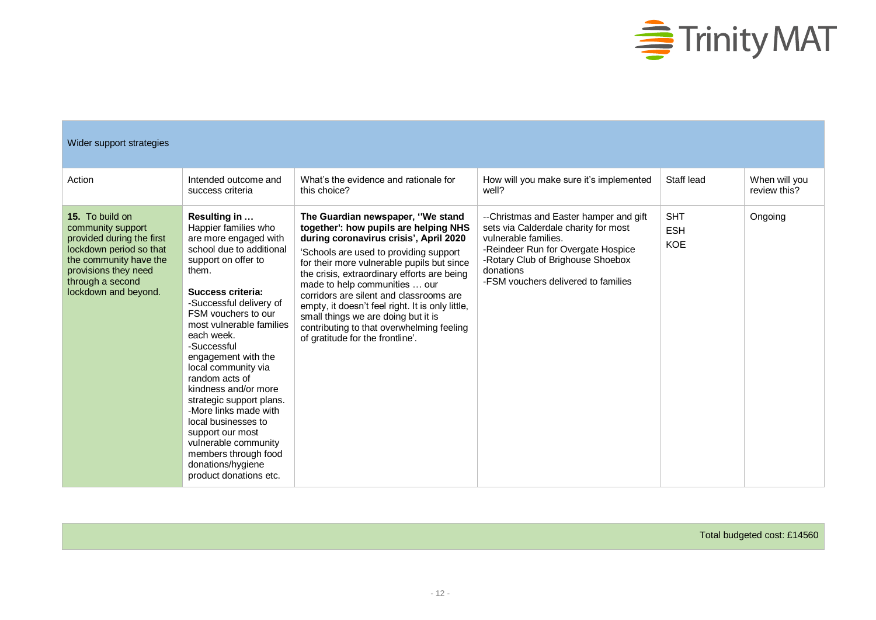

| Wider support strategies                                                                                                                                                                   |                                                                                                                                                                                                                                                                                                                                                                                                                                                                                                                                                  |                                                                                                                                                                                                                                                                                                                                                                                                                                                                                                                     |                                                                                                                                                                                                                                       |                                        |                               |
|--------------------------------------------------------------------------------------------------------------------------------------------------------------------------------------------|--------------------------------------------------------------------------------------------------------------------------------------------------------------------------------------------------------------------------------------------------------------------------------------------------------------------------------------------------------------------------------------------------------------------------------------------------------------------------------------------------------------------------------------------------|---------------------------------------------------------------------------------------------------------------------------------------------------------------------------------------------------------------------------------------------------------------------------------------------------------------------------------------------------------------------------------------------------------------------------------------------------------------------------------------------------------------------|---------------------------------------------------------------------------------------------------------------------------------------------------------------------------------------------------------------------------------------|----------------------------------------|-------------------------------|
| Action                                                                                                                                                                                     | Intended outcome and<br>success criteria                                                                                                                                                                                                                                                                                                                                                                                                                                                                                                         | What's the evidence and rationale for<br>this choice?                                                                                                                                                                                                                                                                                                                                                                                                                                                               | How will you make sure it's implemented<br>well?                                                                                                                                                                                      | Staff lead                             | When will you<br>review this? |
| 15. To build on<br>community support<br>provided during the first<br>lockdown period so that<br>the community have the<br>provisions they need<br>through a second<br>lockdown and beyond. | Resulting in<br>Happier families who<br>are more engaged with<br>school due to additional<br>support on offer to<br>them.<br>Success criteria:<br>-Successful delivery of<br>FSM vouchers to our<br>most vulnerable families<br>each week.<br>-Successful<br>engagement with the<br>local community via<br>random acts of<br>kindness and/or more<br>strategic support plans.<br>-More links made with<br>local businesses to<br>support our most<br>vulnerable community<br>members through food<br>donations/hygiene<br>product donations etc. | The Guardian newspaper, "We stand<br>together': how pupils are helping NHS<br>during coronavirus crisis', April 2020<br>'Schools are used to providing support<br>for their more vulnerable pupils but since<br>the crisis, extraordinary efforts are being<br>made to help communities  our<br>corridors are silent and classrooms are<br>empty, it doesn't feel right. It is only little,<br>small things we are doing but it is<br>contributing to that overwhelming feeling<br>of gratitude for the frontline'. | --Christmas and Easter hamper and gift<br>sets via Calderdale charity for most<br>vulnerable families.<br>-Reindeer Run for Overgate Hospice<br>-Rotary Club of Brighouse Shoebox<br>donations<br>-FSM vouchers delivered to families | <b>SHT</b><br><b>ESH</b><br><b>KOE</b> | Ongoing                       |

Total budgeted cost: £14560